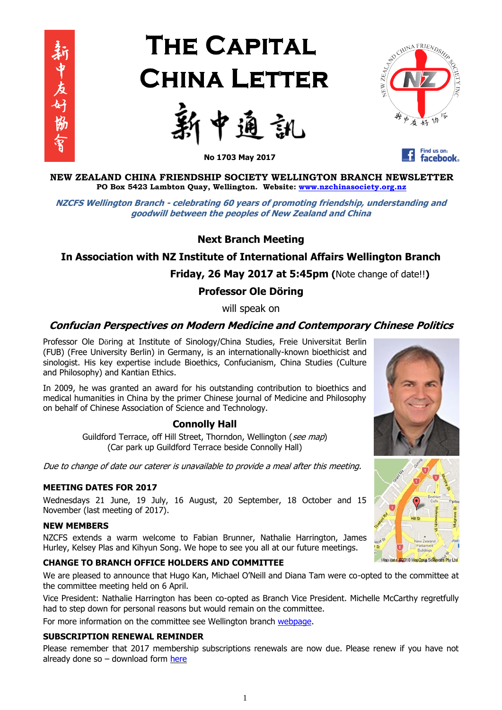

# **THE CAPITAL CHINA LETTER**





Find us on: **facebook** 

**No 1703 May 2017**

**NEW ZEALAND CHINA FRIENDSHIP SOCIETY WELLINGTON BRANCH NEWSLETTER PO Box 5423 Lambton Quay, Wellington. Website: [www.nzchinasociety.org.nz](http://www.nzchinasociety.org.nz/)**

**NZCFS Wellington Branch - celebrating 60 years of promoting friendship, understanding and goodwill between the peoples of New Zealand and China**

# **Next Branch Meeting**

# **In Association with NZ Institute of International Affairs Wellington Branch**

 **Friday, 26 May 2017 at 5:45pm (**Note change of date!!**)**

# **Professor Ole Döring**

will speak on

# **Confucian Perspectives on Modern Medicine and Contemporary Chinese Politics**

Professor Ole Döring at Institute of Sinology/China Studies, Freie Universität Berlin (FUB) (Free University Berlin) in Germany, is an internationally-known bioethicist and sinologist. His key expertise include Bioethics, Confucianism, China Studies (Culture and Philosophy) and Kantian Ethics.

In 2009, he was granted an award for his outstanding contribution to bioethics and medical humanities in China by the primer Chinese journal of Medicine and Philosophy on behalf of Chinese Association of Science and Technology.

# **Connolly Hall**

Guildford Terrace, off Hill Street, Thorndon, Wellington (see map) (Car park up Guildford Terrace beside Connolly Hall)

Due to change of date our caterer is unavailable to provide a meal after this meeting.

## **MEETING DATES FOR 2017**

Wednesdays 21 June, 19 July, 16 August, 20 September, 18 October and 15 November (last meeting of 2017).

## **NEW MEMBERS**

NZCFS extends a warm welcome to Fabian Brunner, Nathalie Harrington, James Hurley, Kelsey Plas and Kihyun Song. We hope to see you all at our future meetings.

# **CHANGE TO BRANCH OFFICE HOLDERS AND COMMITTEE**

We are pleased to announce that Hugo Kan, Michael O'Neill and Diana Tam were co-opted to the committee at the committee meeting held on 6 April.

Vice President: Nathalie Harrington has been co-opted as Branch Vice President. Michelle McCarthy regretfully had to step down for personal reasons but would remain on the committee.

For more information on the committee see Wellington branch [webpage.](http://nzchinasociety.org.nz/wellington-branch/)

## **SUBSCRIPTION RENEWAL REMINDER**

Please remember that 2017 membership subscriptions renewals are now due. Please renew if you have not already done so  $-$  download form [here](http://nzchinasociety.org.nz/wp-content/uploads/2017/03/NZCFS-Wellington-Branch-Membership-Subscription-Form-2017.pdf)



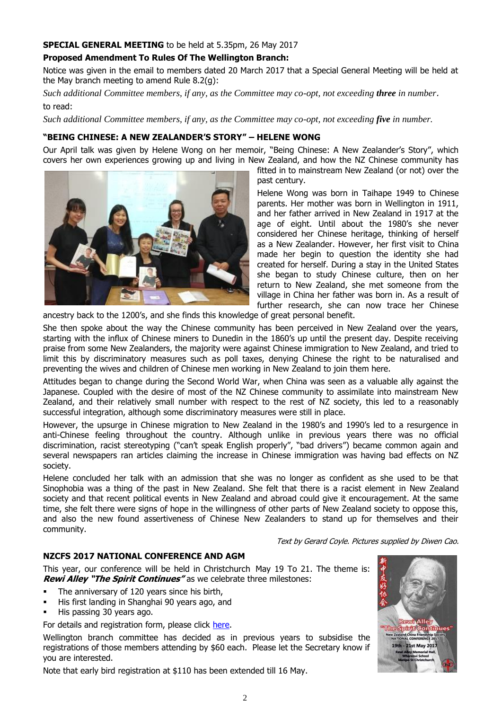## **SPECIAL GENERAL MEETING** to be held at 5.35pm, 26 May 2017

# **Proposed Amendment To Rules Of The Wellington Branch:**

Notice was given in the email to members dated 20 March 2017 that a Special General Meeting will be held at the May branch meeting to amend Rule 8.2(g):

*Such additional Committee members, if any, as the Committee may co-opt, not exceeding three in number*. to read:

*Such additional Committee members, if any, as the Committee may co-opt, not exceeding five in number.* 

# **"BEING CHINESE: A NEW ZEALANDER'S STORY" – HELENE WONG**

Our April talk was given by Helene Wong on her memoir, "Being Chinese: A New Zealander's Story", which covers her own experiences growing up and living in New Zealand, and how the NZ Chinese community has



fitted in to mainstream New Zealand (or not) over the past century.

Helene Wong was born in Taihape 1949 to Chinese parents. Her mother was born in Wellington in 1911, and her father arrived in New Zealand in 1917 at the age of eight. Until about the 1980's she never considered her Chinese heritage, thinking of herself as a New Zealander. However, her first visit to China made her begin to question the identity she had created for herself. During a stay in the United States she began to study Chinese culture, then on her return to New Zealand, she met someone from the village in China her father was born in. As a result of further research, she can now trace her Chinese

ancestry back to the 1200's, and she finds this knowledge of great personal benefit.

She then spoke about the way the Chinese community has been perceived in New Zealand over the years, starting with the influx of Chinese miners to Dunedin in the 1860's up until the present day. Despite receiving praise from some New Zealanders, the majority were against Chinese immigration to New Zealand, and tried to limit this by discriminatory measures such as poll taxes, denying Chinese the right to be naturalised and preventing the wives and children of Chinese men working in New Zealand to join them here.

Attitudes began to change during the Second World War, when China was seen as a valuable ally against the Japanese. Coupled with the desire of most of the NZ Chinese community to assimilate into mainstream New Zealand, and their relatively small number with respect to the rest of NZ society, this led to a reasonably successful integration, although some discriminatory measures were still in place.

However, the upsurge in Chinese migration to New Zealand in the 1980's and 1990's led to a resurgence in anti-Chinese feeling throughout the country. Although unlike in previous years there was no official discrimination, racist stereotyping ("can't speak English properly", "bad drivers") became common again and several newspapers ran articles claiming the increase in Chinese immigration was having bad effects on NZ society.

Helene concluded her talk with an admission that she was no longer as confident as she used to be that Sinophobia was a thing of the past in New Zealand. She felt that there is a racist element in New Zealand society and that recent political events in New Zealand and abroad could give it encouragement. At the same time, she felt there were signs of hope in the willingness of other parts of New Zealand society to oppose this, and also the new found assertiveness of Chinese New Zealanders to stand up for themselves and their community.

Text by Gerard Coyle. Pictures supplied by Diwen Cao.

## **NZCFS 2017 NATIONAL CONFERENCE AND AGM**

This year, our conference will be held in Christchurch May 19 To 21. The theme is: **Rewi Alley "The Spirit Continues"** as we celebrate three milestones:

- The anniversary of 120 years since his birth,
- His first landing in Shanghai 90 years ago, and
- His passing 30 years ago.

For details and registration form, please click [here.](http://nzchinasociety.org.nz/wp-content/uploads/2017/03/Reg-Info-Conference-2017.docx)

Wellington branch committee has decided as in previous years to subsidise the registrations of those members attending by \$60 each. Please let the Secretary know if you are interested.

Note that early bird registration at \$110 has been extended till 16 May.

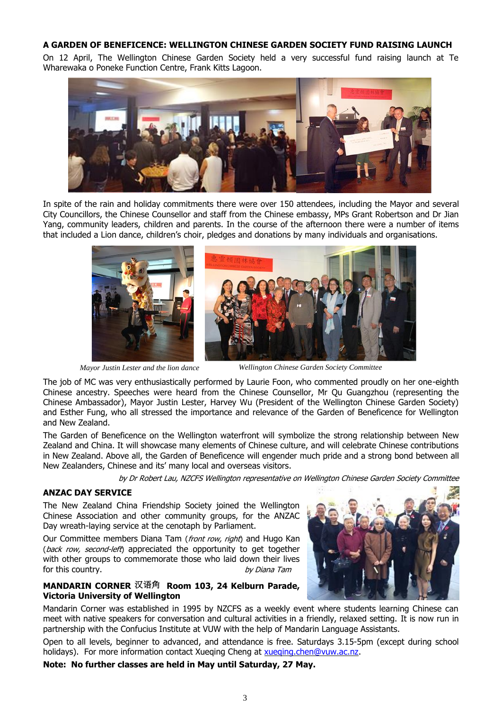## **A GARDEN OF BENEFICENCE: WELLINGTON CHINESE GARDEN SOCIETY FUND RAISING LAUNCH**

On 12 April, The Wellington Chinese Garden Society held a very successful fund raising launch at Te Wharewaka o Poneke Function Centre, Frank Kitts Lagoon.



In spite of the rain and holiday commitments there were over 150 attendees, including the Mayor and several City Councillors, the Chinese Counsellor and staff from the Chinese embassy, MPs Grant Robertson and Dr Jian Yang, community leaders, children and parents. In the course of the afternoon there were a number of items that included a Lion dance, children's choir, pledges and donations by many individuals and organisations.



*Mayor Justin Lester and the lion dance Wellington Chinese Garden Society Committee*

The job of MC was very enthusiastically performed by Laurie Foon, who commented proudly on her one-eighth Chinese ancestry. Speeches were heard from the Chinese Counsellor, Mr Qu Guangzhou (representing the Chinese Ambassador), Mayor Justin Lester, Harvey Wu (President of the Wellington Chinese Garden Society) and Esther Fung, who all stressed the importance and relevance of the Garden of Beneficence for Wellington and New Zealand.

The Garden of Beneficence on the Wellington waterfront will symbolize the strong relationship between New Zealand and China. It will showcase many elements of Chinese culture, and will celebrate Chinese contributions in New Zealand. Above all, the Garden of Beneficence will engender much pride and a strong bond between all New Zealanders, Chinese and its' many local and overseas visitors.

by Dr Robert Lau, NZCFS Wellington representative on Wellington Chinese Garden Society Committee

## **ANZAC DAY SERVICE**

The New Zealand China Friendship Society joined the Wellington Chinese Association and other community groups, for the ANZAC Day wreath-laying service at the cenotaph by Parliament.

Our Committee members Diana Tam (front row, right) and Hugo Kan (back row, second-left) appreciated the opportunity to get together with other groups to commemorate those who laid down their lives for this country. The country of the set of the set of the set of the property of the property of the set of the  $b$  v Diana Tam

## **MANDARIN CORNER** 汉语角 **Room 103, 24 Kelburn Parade, Victoria University of Wellington**

Mandarin Corner was established in 1995 by NZCFS as a weekly event where students learning Chinese can meet with native speakers for conversation and cultural activities in a friendly, relaxed setting. It is now run in partnership with the Confucius Institute at VUW with the help of Mandarin Language Assistants.

Open to all levels, beginner to advanced, and attendance is free. Saturdays 3.15-5pm (except during school holidays). For more information contact Xueqing Cheng at [xueqing.chen@vuw.ac.nz.](file:///C:/Users/Christine%20Strickland/AppData/Local/Microsoft/Windows/INetCache/Content.Outlook/AppData/Local/Microsoft/Windows/INetCache/Content.Outlook/AppData/Local/Microsoft/Windows/INetCache/IE/AppData/Local/Microsoft/Windows/INetCache/QIUHU%20LIANG/AppData/Local/Microsoft/Windows/INetCache/IE/AppData/Local/Microsoft/Windows/INetCache/Content.Outlook/AppData/Local/Microsoft/Windows/INetCache/Content.Outlook/HGS6B0D9/xueqing.chen@vuw.ac.nz)

**Note: No further classes are held in May until Saturday, 27 May.**